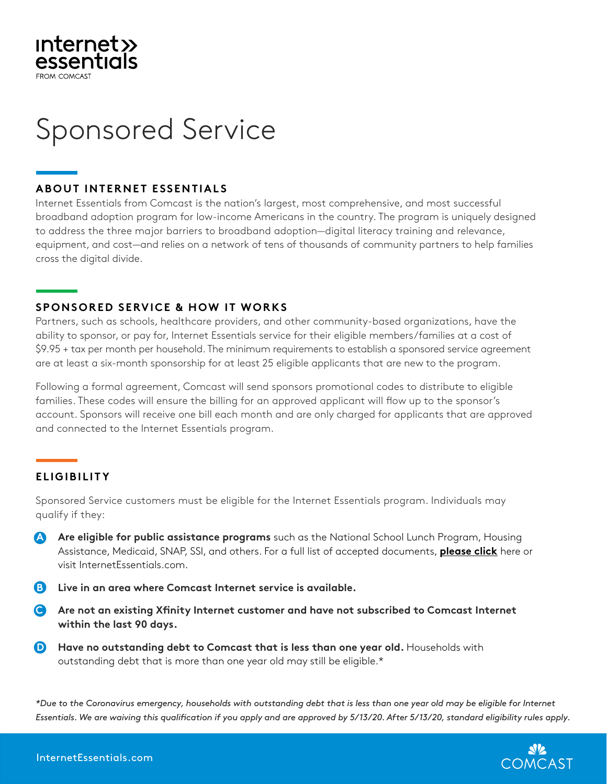## **Internet>>** essentials

# **Sponsored Service**

#### **ABOUT INTERNET ESSENTIALS**

Internet Essentials from Comcast is the nation's largest, most comprehensive, and most successful broadband adoption program for low-income Americans in the country. The program is uniquely designed to address the three major barriers to broadband adoption—digital literacy training and relevance, equipment, and cost—and relies on a network of tens of thousands of community partners to help families cross the digital divide. **WHAT CUSTOMERS RECEIVE**

broadband adoption program for low-income Americans in the country. The program is uniquely

#### **SPONSORED SERVICE & HOW IT WORKS**

 $\mathbf{r} = \mathbf{r} \cdot \mathbf{r}$  internet service with speeds up to 25/3 Mbps for  $\mathbf{r} = \mathbf{r} \cdot \mathbf{r}$ 

Partners, such as schools, healthcare providers, and other community-based organizations, have the ability to sponsor, or pay for, Internet Essentials service for their eligible members/families at a cost of \$9.95 + tax per month per household. The minimum requirements to establish a sponsored service agreement are at least a six-month sponsorship for at least 25 eligible applicants that are new to the program.

Following a formal agreement, Comcast will send sponsors promotional codes to distribute to eligible **WHO Q UALIFIE S FOR OUR PRO GR AM** families. These codes will ensure the billing for an approved applicant will flow up to the sponsor's account. Sponsors will receive one bill each month and are only charged for applicants that are approved Are eligible for public assistance programs like the National School Lunch Program, housing and connected to the Internet Essentials program.<br>

#### **ELIGIBILITY** Live in an area where Comcast Internet service is available

Sponsored Service customers must be eligible for the Internet Essentials program. Individuals may qualify if they:  $\mu$  if they define that is defined to  $\sigma$ 

- **A** Are eligible for public assistance programs such as the National School Lunch Program, Housing Assistance, Medicaid, SNAP, SSI, and others. For a full list of accepted documents, **[please click](https://www.internetessentials.com/get-help#mostasked&all_Documentsneeded)** here or visit InternetEssentials.com.
- B Live in an area where Comcast Internet service is available. community with the necessary skills to take full advantage of having the Internet in the home.
- C Are not an existing Xfinity Internet customer and have not subscribed to Comcast Internet **within the last 90 days.**
- **D** Have no outstanding debt to Comcast that is less than one year old. Households with outstanding debt that is more than one year old may still be eligible.\*

*\*Due to the Coronavirus emergency, households with outstanding debt that is less than one year old may be eligible for Internet Essentials. We are waiving this qualification if you apply and are approved by 5/13/20. After 5/13/20, standard eligibility rules apply.*